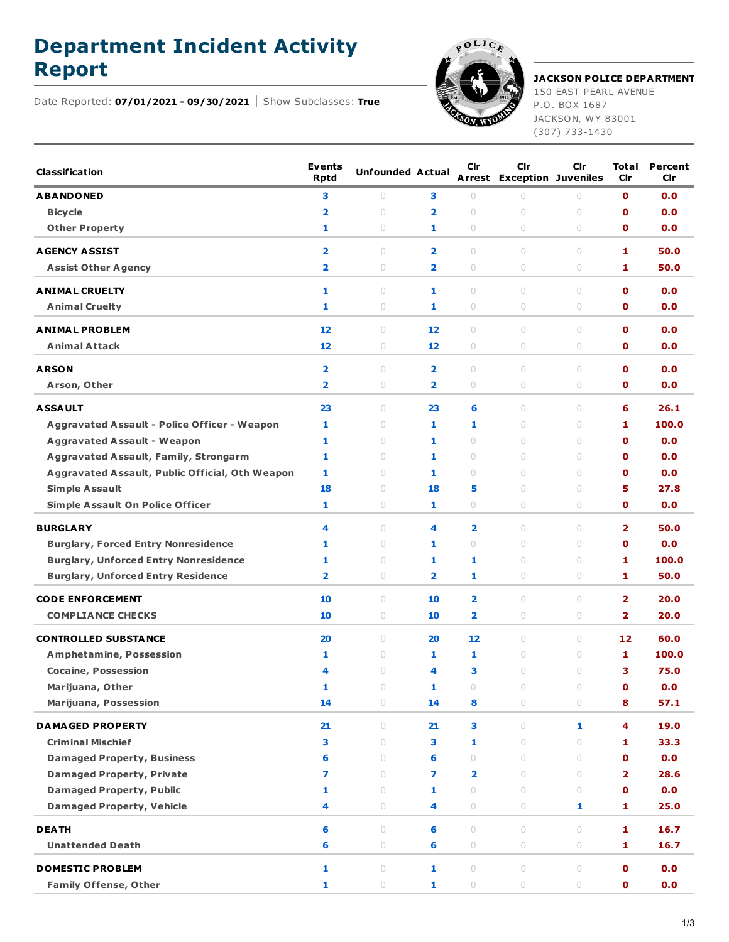## **Department Incident Activity**



## **Report JACKSON POLICE DEPARTMENT**

150 EAST PEARL AVENUE P.O. BOX 1687 JACKSON, WY 83001 (307) 733-1430

Date Reported: **07/01/2021 - 09/30/2021** Show Subclasses: **True**

| <b>Classification</b>                               | <b>Events</b><br><b>Rptd</b> | <b>Unfounded Actual</b> |                         | Cir        | Cir<br><b>Arrest Exception Juveniles</b> | <b>Cir</b>                       | Total<br><b>Cir</b>     | Percent<br>Cir |
|-----------------------------------------------------|------------------------------|-------------------------|-------------------------|------------|------------------------------------------|----------------------------------|-------------------------|----------------|
| <b>ABANDONED</b>                                    | 3                            | $\circ$                 | з                       | $\circ$    | $\circ$                                  | $\circ$                          | 0                       | 0.0            |
| <b>Bicycle</b>                                      | $\overline{\mathbf{2}}$      | $\bigcirc$              | 2                       | $\circ$    | $\circ$                                  | $\cup$                           | 0                       | 0.0            |
| <b>Other Property</b>                               | 1                            | $\circ$                 | 1                       | $\circ$    | $\circ$                                  | $\circ$                          | O                       | 0.0            |
| <b>AGENCY ASSIST</b>                                | $\overline{\mathbf{2}}$      | $\circ$                 | $\overline{2}$          | $\circ$    | $\circ$                                  | $\circ$                          | 1                       | 50.0           |
| <b>Assist Other Agency</b>                          | $\overline{\mathbf{2}}$      | $\circ$                 | $\overline{\mathbf{2}}$ | 0          | $\circ$                                  | $\circ$                          | 1                       | 50.0           |
| <b>ANIMAL CRUELTY</b>                               | 1                            | $\circ$                 | 1                       | 0          | $\circ$                                  | $\circ$                          | O                       | 0.0            |
| <b>Animal Cruelty</b>                               | 1                            | $\circ$                 | 1                       | 0          | $\circ$                                  | $\circ$                          | O                       | 0.0            |
| <b>ANIMAL PROBLEM</b>                               | 12                           | $\circ$                 | 12                      | $\circ$    | $\circ$                                  | $\circ$                          | O                       | 0.0            |
| <b>Animal Attack</b>                                | 12                           | $\circ$                 | 12                      | 0          | $\circ$                                  | $\circ$                          | о                       | 0.0            |
| <b>ARSON</b>                                        | $\overline{\mathbf{2}}$      | $\circ$                 | $\overline{\mathbf{2}}$ | 0          | $\circ$                                  | $\circ$                          | 0                       | 0.0            |
| Arson, Other                                        | $\overline{\mathbf{2}}$      | $\circ$                 | $\overline{2}$          | 0          | $\circ$                                  | $\circ$                          | O                       | 0.0            |
| <b>ASSAULT</b>                                      | 23                           | $\circ$                 | 23                      | 6          | $\circ$                                  | $\circ$                          | 6                       | 26.1           |
| <b>Aggravated Assault - Police Officer - Weapon</b> | 1                            | $\circ$                 | 1                       | 1          | $\circ$                                  | $\circ$                          | 1                       | 100.0          |
| <b>Aggravated Assault - Weapon</b>                  | 1                            | $\circ$                 | 1                       | 0          | $\circ$                                  | $\circ$                          | 0                       | 0.0            |
| <b>Aggravated Assault, Family, Strongarm</b>        | 1                            | $\circ$                 | 1                       | $\circ$    | $\begin{array}{c} \n\end{array}$         | $\circ$                          | 0                       | 0.0            |
| Aggravated Assault, Public Official, Oth Weapon     | 1                            | $\circ$                 | 1                       | $\circ$    | $\circ$                                  | $\circ$                          | 0                       | 0.0            |
| <b>Simple Assault</b>                               | 18                           | $\circ$                 | 18                      | 5          | $\circ$                                  | $\circ$                          | 5                       | 27.8           |
| <b>Simple Assault On Police Officer</b>             | 1                            | $\circ$                 | 1                       | 0          | $\circ$                                  | $\circ$                          | O                       | 0.0            |
|                                                     |                              |                         |                         |            |                                          |                                  |                         |                |
| <b>BURGLARY</b>                                     | 4                            | $\circ$                 | 4                       | 2          | $\begin{array}{c} \n\end{array}$         | $\begin{array}{c} \n\end{array}$ | 2                       | 50.0           |
| <b>Burglary, Forced Entry Nonresidence</b>          | 1                            | $\circ$                 | 1                       | $\circ$    | $\circ$                                  | $\circ$                          | O                       | 0.0            |
| <b>Burglary, Unforced Entry Nonresidence</b>        | 1                            | $\circ$                 | 1                       | 1          | $\circ$                                  | $\circ$                          | 1                       | 100.0          |
| <b>Burglary, Unforced Entry Residence</b>           | $\overline{\mathbf{2}}$      | $\circ$                 | 2                       | 1          | $\circ$                                  | $\circ$                          | 1                       | 50.0           |
| <b>CODE ENFORCEMENT</b>                             | 10                           | $\circ$                 | 10                      | 2          | $\circ$                                  | $\circ$                          | $\overline{\mathbf{2}}$ | 20.0           |
| <b>COMPLIANCE CHECKS</b>                            | 10                           | $\circ$                 | 10                      | 2          | $\circ$                                  | $\circ$                          | $\overline{\mathbf{2}}$ | 20.0           |
| <b>CONTROLLED SUBSTANCE</b>                         | 20                           | $\circ$                 | 20                      | 12         | $\circ$                                  | $\circ$                          | 12                      | 60.0           |
| <b>Amphetamine, Possession</b>                      | 1                            | $\circ$                 | 1                       | 1          | $\circ$                                  | $\circ$                          | 1                       | 100.0          |
| <b>Cocaine, Possession</b>                          | 4                            | $\circ$                 | 4                       | З          | $\circ$                                  | $\circ$                          | з                       | 75.0           |
| Marijuana, Other                                    | 1                            | $\bigcirc$              | 1                       | 0          | $\bigcirc$                               | $\bigcirc$                       | $\mathbf 0$             | 0.0            |
| <b>Marijuana, Possession</b>                        | 14                           | 0                       | 14                      | 8          | 0                                        | 0                                | 8                       | 57.1           |
| <b>DAMAGED PROPERTY</b>                             | 21                           | $\circ$                 | 21                      | 3          | $\circ$                                  | 1                                | 4                       | 19.0           |
| <b>Criminal Mischief</b>                            | 3                            | $\circ$                 | 3                       | 1          | $\circ$                                  | $\circ$                          | 1                       | 33.3           |
| <b>Damaged Property, Business</b>                   | 6                            | $\circ$                 | 6                       | $\circ$    | $\circ$                                  | $\circ$                          | $\mathbf 0$             | 0.0            |
| <b>Damaged Property, Private</b>                    | 7                            | $\circ$                 | 7                       | 2          | $\cup$                                   | $\circ$                          | 2                       | 28.6           |
| <b>Damaged Property, Public</b>                     | 1                            | $\circ$                 | 1                       | $\circ$    | $\circ$                                  | $\circ$                          | O                       | 0.0            |
| <b>Damaged Property, Vehicle</b>                    | 4                            | $\circ$                 | 4                       | 0          | $\circ$                                  | 1                                | 1                       | 25.0           |
| <b>DEATH</b>                                        | 6                            | $\circ$                 | 6                       | $\bigcirc$ | $\circ$                                  | $\circ$                          | 1.                      | 16.7           |
| <b>Unattended Death</b>                             | 6                            | 0                       | 6                       | 0          | $\circ$                                  | 0                                | 1                       | 16.7           |
| <b>DOMESTIC PROBLEM</b>                             | 1                            | $\circ$                 | $\mathbf{1}$            | $\circ$    | $\circ$                                  | $\circ$                          | $\mathbf 0$             | 0.0            |
| <b>Family Offense, Other</b>                        | 1                            | $\bigcirc$              | 1                       | 0          | $\circ$                                  | $\bigcirc$                       | $\mathbf 0$             | 0.0            |
|                                                     |                              |                         |                         |            |                                          |                                  |                         |                |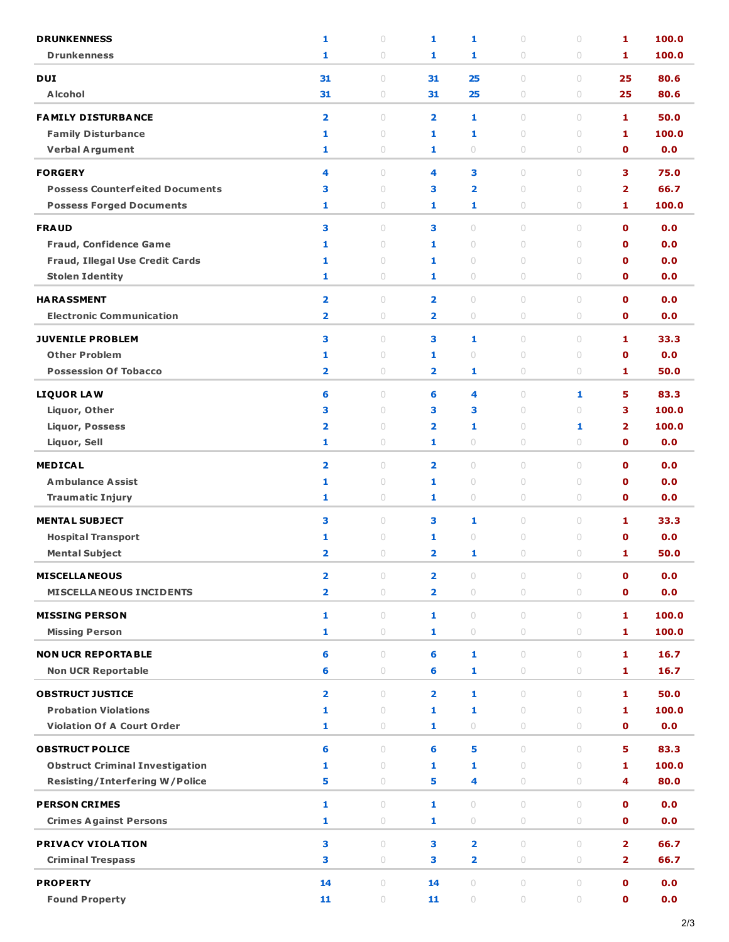| <b>DRUNKENNESS</b>                                               | 1                       | $\circ$                          | 1                       | 1                       | $\bigcirc$         | $\cup$            | 1                           | 100.0      |
|------------------------------------------------------------------|-------------------------|----------------------------------|-------------------------|-------------------------|--------------------|-------------------|-----------------------------|------------|
| <b>Drunkenness</b>                                               | 1                       | $\circ$                          | 1                       | 1                       | $\circ$            | $\circ$           | 1                           | 100.0      |
| <b>DUI</b>                                                       | 31                      | $\circ$                          | 31                      | 25                      | $\circ$            | $\cup$            | 25                          | 80.6       |
| <b>Alcohol</b>                                                   | 31                      | $\circ$                          | 31                      | 25                      | $\circ$            | $\circ$           | 25                          | 80.6       |
| <b>FAMILY DISTURBANCE</b>                                        | $\overline{\mathbf{2}}$ | $\cup$                           | $\overline{\mathbf{2}}$ | 1                       | $\cup$             | $\cup$            | 1                           | 50.0       |
| <b>Family Disturbance</b>                                        | 1                       | $\circ$                          | 1                       | 1                       | $\circ$            | $\cup$            | 1                           | 100.0      |
| <b>Verbal Argument</b>                                           | 1                       | $\circ$                          | 1                       | $\circ$                 | $\circ$            | $\circ$           | $\mathbf 0$                 | 0.0        |
| <b>FORGERY</b>                                                   | 4                       | $\cup$                           | 4                       | 3                       | $\circ$            | $\bigcirc$        | 3                           | 75.0       |
| <b>Possess Counterfeited Documents</b>                           | з                       | $\circ$                          | 3                       | $\overline{\mathbf{2}}$ | $\circ$            | $\cup$            | $\overline{\mathbf{2}}$     | 66.7       |
| <b>Possess Forged Documents</b>                                  | 1                       | $\circ$                          | 1                       | 1                       | $\circ$            | $\circ$           | 1                           | 100.0      |
|                                                                  |                         |                                  |                         |                         |                    |                   |                             |            |
| <b>FRAUD</b>                                                     | 3<br>1                  | $\circ$<br>$\circ$               | 3<br>1                  | $\circ$<br>$\circ$      | $\circ$<br>$\circ$ | $\circ$<br>$\cup$ | $\mathbf{o}$<br>$\mathbf 0$ | 0.0<br>0.0 |
| <b>Fraud, Confidence Game</b><br>Fraud, Illegal Use Credit Cards | 1                       | $\begin{array}{c} \n\end{array}$ | 1                       | $\circ$                 | $\bigcirc$         | $\cup$            | $\mathbf o$                 | 0.0        |
| <b>Stolen Identity</b>                                           | 1                       | $\circ$                          | 1                       | $\circ$                 | $\circ$            | $\circ$           | $\mathbf 0$                 | 0.0        |
|                                                                  |                         |                                  |                         |                         |                    |                   |                             |            |
| <b>HARASSMENT</b>                                                | $\overline{\mathbf{2}}$ | $\circ$                          | $\overline{\mathbf{2}}$ | $\circ$                 | $\circ$            | $\cup$            | $\mathbf 0$                 | 0.0        |
| <b>Electronic Communication</b>                                  | $\overline{\mathbf{2}}$ | $\bigcirc$                       | $\overline{2}$          | $\bigcirc$              | $\bigcirc$         | $\bigcirc$        | $\mathbf 0$                 | 0.0        |
| <b>JUVENILE PROBLEM</b>                                          | 3                       | $\circ$                          | 3                       | 1                       | $\circ$            | $\circ$           | 1                           | 33.3       |
| <b>Other Problem</b>                                             | 1                       | $\circ$                          | 1                       | $\circ$                 | $\circ$            | $\cup$            | $\mathbf 0$                 | 0.0        |
| <b>Possession Of Tobacco</b>                                     | $\overline{\mathbf{2}}$ | $\bigcirc$                       | 2                       | 1                       | $\bigcirc$         | $\bigcirc$        | 1                           | 50.0       |
| <b>LIQUOR LAW</b>                                                | 6                       | $\circ$                          | 6                       | 4                       | $\circ$            | 1                 | 5                           | 83.3       |
| Liquor, Other                                                    | 3                       | $\circ$                          | 3                       | з                       | $\circ$            | $\cup$            | 3                           | 100.0      |
| <b>Liquor, Possess</b>                                           | $\overline{\mathbf{2}}$ | $\begin{array}{c} \n\end{array}$ | $\overline{\mathbf{2}}$ | 1                       | $\bigcirc$         | 1                 | $\overline{2}$              | 100.0      |
| Liquor, Sell                                                     | 1                       | $\bigcirc$                       | 1                       | $\bigcirc$              | $\bigcirc$         | $\bigcirc$        | $\mathbf 0$                 | 0.0        |
| <b>MEDICAL</b>                                                   | $\overline{\mathbf{2}}$ | $\circ$                          | $\overline{\mathbf{2}}$ | $\circ$                 | $\circ$            | $\circ$           | $\mathbf 0$                 | 0.0        |
| <b>Ambulance Assist</b>                                          | 1                       | $\circ$                          | 1                       | $\circ$                 | $\circ$            | $\cup$            | $\mathbf 0$                 | 0.0        |
| <b>Traumatic Injury</b>                                          | 1                       | $\circ$                          | 1                       | $\circ$                 | 0                  | $\circ$           | $\mathbf 0$                 | 0.0        |
| <b>MENTAL SUBJECT</b>                                            | 3                       | $\circ$                          | 3                       | 1                       | $\circ$            | $\circ$           | 1                           | 33.3       |
| <b>Hospital Transport</b>                                        | 1                       | $\circ$                          | 1                       | $\circ$                 | $\circ$            | $\circ$           | $\mathbf{0}$                | 0.0        |
| <b>Mental Subject</b>                                            | $\overline{\mathbf{2}}$ | $\circ$                          | $\overline{\mathbf{2}}$ | 1                       | $\circ$            | $\cup$            | 1                           | 50.0       |
|                                                                  |                         |                                  |                         |                         |                    |                   |                             |            |
| <b>MISCELLA NEOUS</b>                                            | $\overline{\mathbf{2}}$ | $\circ$                          | $\overline{2}$          | $\circ$                 | $\cup$             | $\cup$            | $\mathbf 0$                 | 0.0        |
| <b>MISCELLA NEOUS INCIDENTS</b>                                  | $\overline{\mathbf{2}}$ | $\bigcirc$                       | $\overline{2}$          | $\circlearrowright$     | $\circ$            | $\circ$           | $\mathbf 0$                 | 0.0        |
| <b>MISSING PERSON</b>                                            | 1                       | $\circ$                          | 1                       | $\circ$                 | $\circ$            | $\circ$           | 1                           | 100.0      |
| <b>Missing Person</b>                                            | 1                       | $\bigcirc$                       | 1                       | $\bigcirc$              | $\circ$            | $\circ$           | 1                           | 100.0      |
| <b>NON UCR REPORTABLE</b>                                        | 6                       | $\cup$                           | 6                       | 1                       | $\cup$             | $\bigcirc$        | 1                           | 16.7       |
| <b>Non UCR Reportable</b>                                        | 6                       | $\circ$                          | 6                       | 1                       | $\circ$            | $\circ$           | 1                           | 16.7       |
| <b>OBSTRUCT JUSTICE</b>                                          | $\overline{\mathbf{2}}$ | $\circ$                          | $\overline{2}$          | 1                       | $\circ$            | $\circ$           | 1                           | 50.0       |
| <b>Probation Violations</b>                                      | 1                       | $\bigcirc$                       | $\mathbf{1}$            | 1                       | $\circ$            | $\circ$           | 1                           | 100.0      |
| <b>Violation Of A Court Order</b>                                | 1                       | $\circ$                          | 1                       | $\circ$                 | $\circ$            | $\circ$           | $\mathbf 0$                 | 0.0        |
|                                                                  |                         |                                  |                         |                         |                    |                   |                             |            |
| <b>OBSTRUCT POLICE</b>                                           | 6                       | $\circ$                          | 6                       | 5                       | $\circ$            | $\circ$           | 5                           | 83.3       |
| <b>Obstruct Criminal Investigation</b>                           | 1                       | $\circ$                          | 1                       | 1                       | $\circ$            | $\circ$           | 1                           | 100.0      |
| <b>Resisting/Interfering W/Police</b>                            | 5                       | $\bigcirc$                       | 5                       | 4                       | $\bigcirc$         | $\circ$           | 4                           | 80.0       |
| <b>PERSON CRIMES</b>                                             | 1                       | $\cup$                           | 1                       | $\circ$                 | $\cup$             | $\cup$            | $\mathbf{o}$                | 0.0        |
| <b>Crimes Against Persons</b>                                    | 1                       | $\bigcirc$                       | 1                       | $\circlearrowright$     | $\bigcirc$         | $\bigcirc$        | $\mathbf 0$                 | 0.0        |
| <b>PRIVACY VIOLATION</b>                                         | 3                       | $\circ$                          | 3                       | $\overline{\mathbf{2}}$ | $\circ$            | $\circ$           | $\overline{2}$              | 66.7       |
| <b>Criminal Trespass</b>                                         | з                       | $\bigcirc$                       | 3                       | 2                       | $\bigcirc$         | $\bigcirc$        | $\overline{\mathbf{2}}$     | 66.7       |
| <b>PROPERTY</b>                                                  | 14                      | $\circ$                          | 14                      | $\circ$                 | $\circ$            | $\circ$           | $\mathbf 0$                 | 0.0        |
| <b>Found Property</b>                                            | 11                      | $\bigcirc$                       | 11                      | $\bigcirc$              | $\bigcirc$         | $\bigcirc$        | $\mathbf 0$                 | 0.0        |